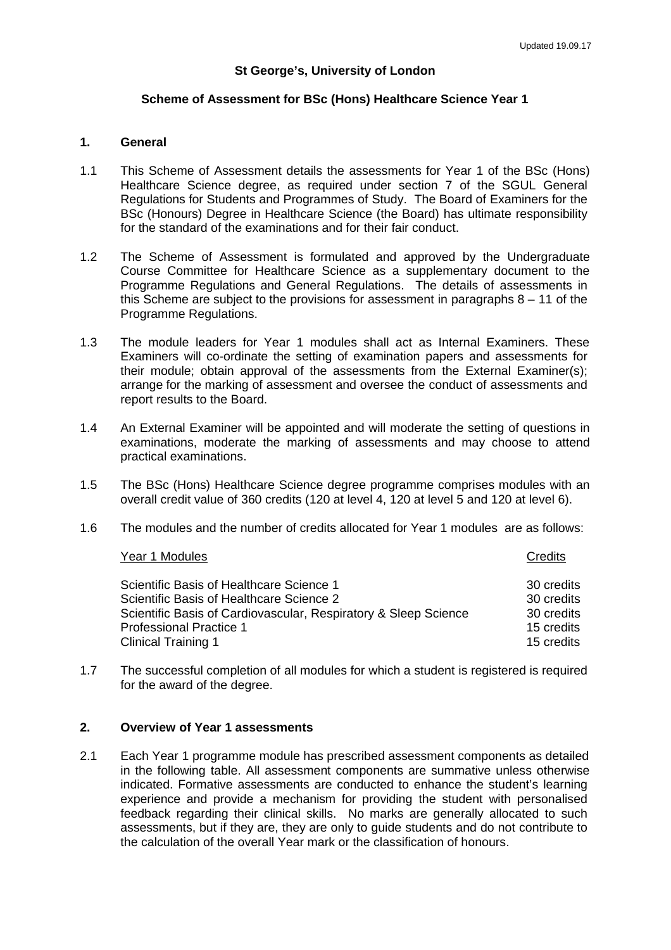#### **St George's, University of London**

#### **Scheme of Assessment for BSc (Hons) Healthcare Science Year 1**

## **1. General**

- 1.1 This Scheme of Assessment details the assessments for Year 1 of the BSc (Hons) Healthcare Science degree, as required under section 7 of the SGUL General Regulations for Students and Programmes of Study. The Board of Examiners for the BSc (Honours) Degree in Healthcare Science (the Board) has ultimate responsibility for the standard of the examinations and for their fair conduct.
- 1.2 The Scheme of Assessment is formulated and approved by the Undergraduate Course Committee for Healthcare Science as a supplementary document to the Programme Regulations and General Regulations. The details of assessments in this Scheme are subject to the provisions for assessment in paragraphs  $8 - 11$  of the Programme Regulations.
- 1.3 The module leaders for Year 1 modules shall act as Internal Examiners. These Examiners will co-ordinate the setting of examination papers and assessments for their module; obtain approval of the assessments from the External Examiner(s); arrange for the marking of assessment and oversee the conduct of assessments and report results to the Board.
- 1.4 An External Examiner will be appointed and will moderate the setting of questions in examinations, moderate the marking of assessments and may choose to attend practical examinations.
- 1.5 The BSc (Hons) Healthcare Science degree programme comprises modules with an overall credit value of 360 credits (120 at level 4, 120 at level 5 and 120 at level 6).
- 1.6 The modules and the number of credits allocated for Year 1 modules are as follows:

#### **The Vear 1 Modules Credits** Credits Credits Credits Credits Credits Credits Credits Credits Credits Credits Credits Credits Credits Credits Credits Credits Credits Credits Credits Credits Credits Credits Credits Credits C

| Scientific Basis of Healthcare Science 1                        | 30 credits |
|-----------------------------------------------------------------|------------|
| Scientific Basis of Healthcare Science 2                        | 30 credits |
| Scientific Basis of Cardiovascular, Respiratory & Sleep Science | 30 credits |
| <b>Professional Practice 1</b>                                  | 15 credits |
| <b>Clinical Training 1</b>                                      | 15 credits |

1.7 The successful completion of all modules for which a student is registered is required for the award of the degree.

### **2. Overview of Year 1 assessments**

2.1 Each Year 1 programme module has prescribed assessment components as detailed in the following table. All assessment components are summative unless otherwise indicated. Formative assessments are conducted to enhance the student's learning experience and provide a mechanism for providing the student with personalised feedback regarding their clinical skills. No marks are generally allocated to such assessments, but if they are, they are only to guide students and do not contribute to the calculation of the overall Year mark or the classification of honours.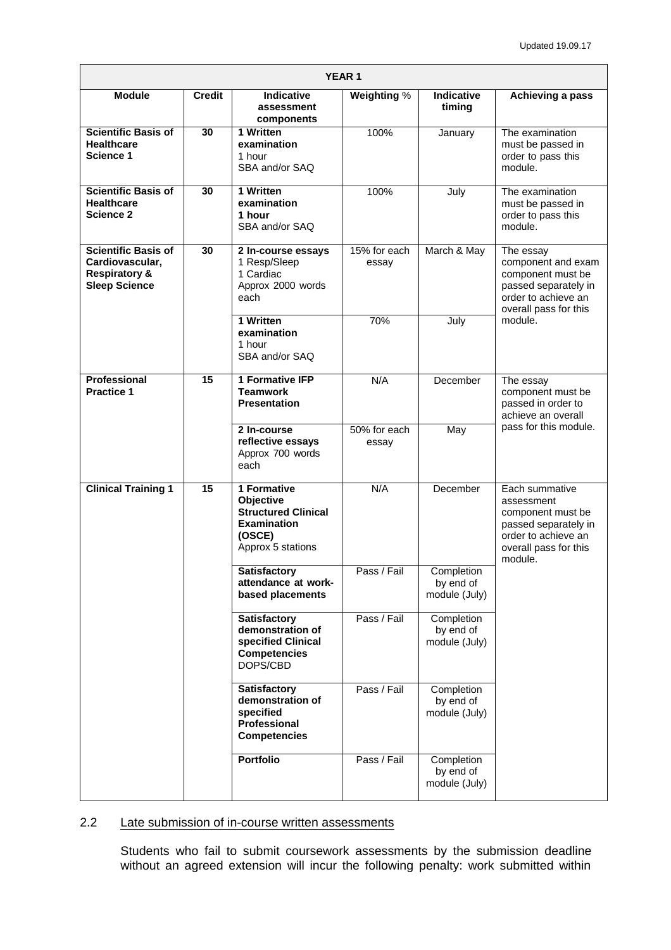| <b>YEAR1</b>                                                                                      |               |                                                                                                             |                       |                                          |                                                                                                                                         |  |  |
|---------------------------------------------------------------------------------------------------|---------------|-------------------------------------------------------------------------------------------------------------|-----------------------|------------------------------------------|-----------------------------------------------------------------------------------------------------------------------------------------|--|--|
| <b>Module</b>                                                                                     | <b>Credit</b> | Indicative<br>assessment<br>components                                                                      | Weighting %           | <b>Indicative</b><br>timing              | Achieving a pass                                                                                                                        |  |  |
| <b>Scientific Basis of</b><br><b>Healthcare</b><br>Science 1                                      | 30            | 1 Written<br>examination<br>1 hour<br>SBA and/or SAQ                                                        | 100%                  | January                                  | The examination<br>must be passed in<br>order to pass this<br>module.                                                                   |  |  |
| <b>Scientific Basis of</b><br><b>Healthcare</b><br><b>Science 2</b>                               | 30            | 1 Written<br>examination<br>1 hour<br>SBA and/or SAQ                                                        | 100%                  | July                                     | The examination<br>must be passed in<br>order to pass this<br>module.                                                                   |  |  |
| <b>Scientific Basis of</b><br>Cardiovascular,<br><b>Respiratory &amp;</b><br><b>Sleep Science</b> | 30            | 2 In-course essays<br>1 Resp/Sleep<br>1 Cardiac<br>Approx 2000 words<br>each                                | 15% for each<br>essay | March & May                              | The essay<br>component and exam<br>component must be<br>passed separately in<br>order to achieve an<br>overall pass for this<br>module. |  |  |
|                                                                                                   |               | 1 Written<br>examination<br>1 hour<br>SBA and/or SAQ                                                        | 70%                   | July                                     |                                                                                                                                         |  |  |
| <b>Professional</b><br><b>Practice 1</b>                                                          | 15            | <b>1 Formative IFP</b><br><b>Teamwork</b><br><b>Presentation</b>                                            | N/A                   | December                                 | The essay<br>component must be<br>passed in order to<br>achieve an overall                                                              |  |  |
|                                                                                                   |               | 2 In-course<br>reflective essays<br>Approx 700 words<br>each                                                | 50% for each<br>essay | May                                      | pass for this module.                                                                                                                   |  |  |
| <b>Clinical Training 1</b>                                                                        | 15            | 1 Formative<br>Objective<br><b>Structured Clinical</b><br><b>Examination</b><br>(OSCE)<br>Approx 5 stations | N/A                   | December                                 | Each summative<br>assessment<br>component must be<br>passed separately in<br>order to achieve an<br>overall pass for this<br>module.    |  |  |
|                                                                                                   |               | <b>Satisfactory</b><br>attendance at work-<br>based placements                                              | Pass / Fail           | Completion<br>by end of<br>module (July) |                                                                                                                                         |  |  |
|                                                                                                   |               | <b>Satisfactory</b><br>demonstration of<br>specified Clinical<br><b>Competencies</b><br>DOPS/CBD            | Pass / Fail           | Completion<br>by end of<br>module (July) |                                                                                                                                         |  |  |
|                                                                                                   |               | <b>Satisfactory</b><br>demonstration of<br>specified<br>Professional<br><b>Competencies</b>                 | Pass / Fail           | Completion<br>by end of<br>module (July) |                                                                                                                                         |  |  |
|                                                                                                   |               | <b>Portfolio</b>                                                                                            | Pass / Fail           | Completion<br>by end of<br>module (July) |                                                                                                                                         |  |  |

# 2.2 Late submission of in-course written assessments

Students who fail to submit coursework assessments by the submission deadline without an agreed extension will incur the following penalty: work submitted within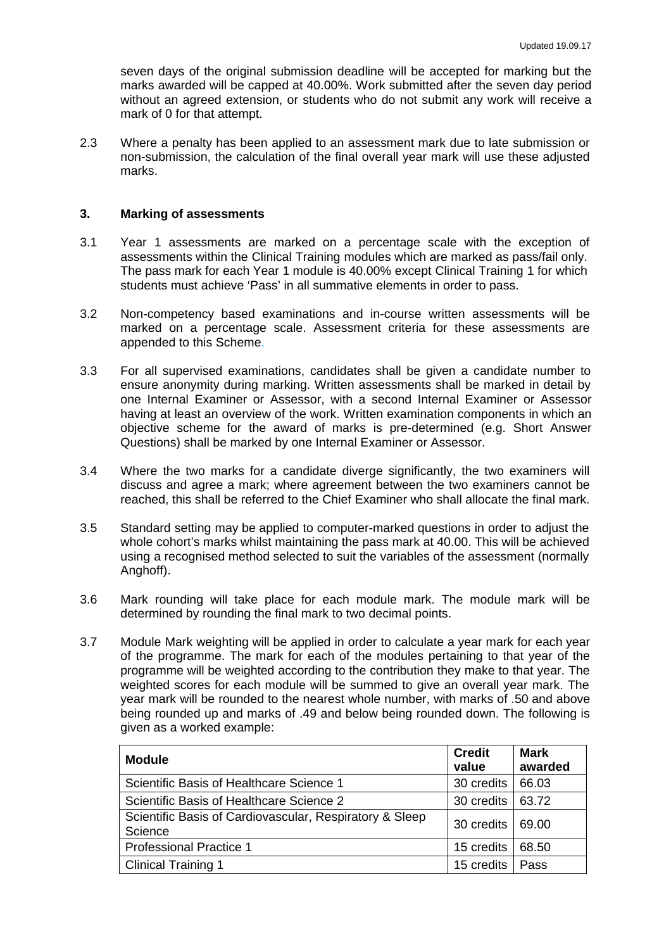seven days of the original submission deadline will be accepted for marking but the marks awarded will be capped at 40.00%. Work submitted after the seven day period without an agreed extension, or students who do not submit any work will receive a mark of 0 for that attempt.

2.3 Where a penalty has been applied to an assessment mark due to late submission or non-submission, the calculation of the final overall year mark will use these adjusted marks.

#### **3. Marking of assessments**

- 3.1 Year 1 assessments are marked on a percentage scale with the exception of assessments within the Clinical Training modules which are marked as pass/fail only. The pass mark for each Year 1 module is 40.00% except Clinical Training 1 for which students must achieve 'Pass' in all summative elements in order to pass.
- 3.2 Non-competency based examinations and in-course written assessments will be marked on a percentage scale. Assessment criteria for these assessments are appended to this Scheme.
- 3.3 For all supervised examinations, candidates shall be given a candidate number to ensure anonymity during marking. Written assessments shall be marked in detail by one Internal Examiner or Assessor, with a second Internal Examiner or Assessor having at least an overview of the work. Written examination components in which an objective scheme for the award of marks is pre-determined (e.g. Short Answer Questions) shall be marked by one Internal Examiner or Assessor.
- 3.4 Where the two marks for a candidate diverge significantly, the two examiners will discuss and agree a mark; where agreement between the two examiners cannot be reached, this shall be referred to the Chief Examiner who shall allocate the final mark.
- 3.5 Standard setting may be applied to computer-marked questions in order to adjust the whole cohort's marks whilst maintaining the pass mark at 40.00. This will be achieved using a recognised method selected to suit the variables of the assessment (normally Anghoff).
- 3.6 Mark rounding will take place for each module mark. The module mark will be determined by rounding the final mark to two decimal points.
- 3.7 Module Mark weighting will be applied in order to calculate a year mark for each year of the programme. The mark for each of the modules pertaining to that year of the programme will be weighted according to the contribution they make to that year. The weighted scores for each module will be summed to give an overall year mark. The year mark will be rounded to the nearest whole number, with marks of .50 and above being rounded up and marks of .49 and below being rounded down. The following is given as a worked example:

| <b>Module</b>                                                      | <b>Credit</b><br>value | <b>Mark</b><br>awarded |
|--------------------------------------------------------------------|------------------------|------------------------|
| Scientific Basis of Healthcare Science 1                           | 30 credits             | 66.03                  |
| Scientific Basis of Healthcare Science 2                           | 30 credits             | 63.72                  |
| Scientific Basis of Cardiovascular, Respiratory & Sleep<br>Science | 30 credits             | 69.00                  |
| <b>Professional Practice 1</b>                                     | 15 credits             | 68.50                  |
| <b>Clinical Training 1</b>                                         | 15 credits             | Pass                   |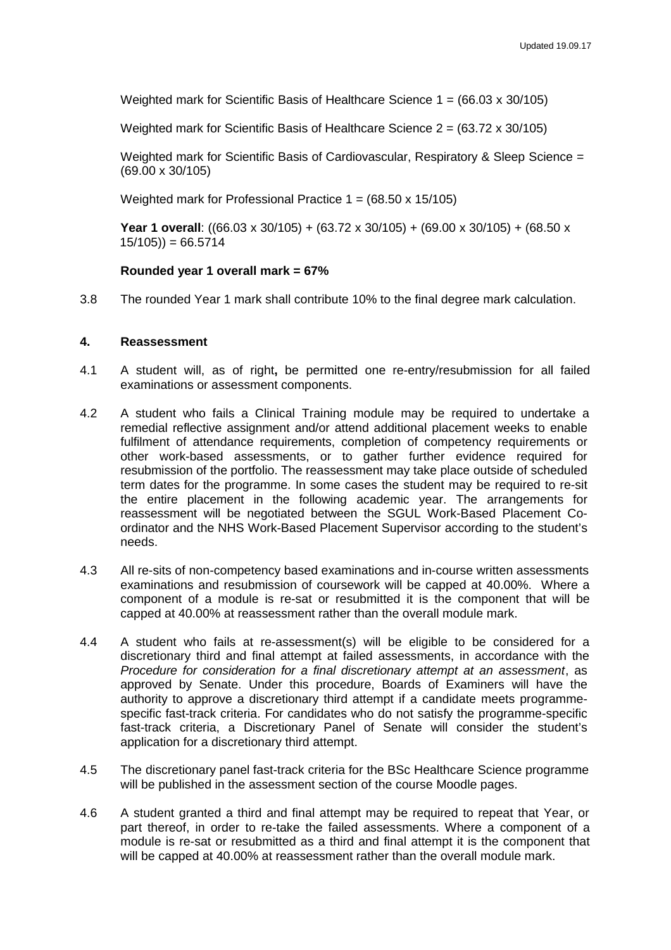Weighted mark for Scientific Basis of Healthcare Science  $1 = (66.03 \times 30/105)$ 

Weighted mark for Scientific Basis of Healthcare Science 2 = (63.72 x 30/105)

Weighted mark for Scientific Basis of Cardiovascular, Respiratory & Sleep Science = (69.00 x 30/105)

Weighted mark for Professional Practice  $1 = (68.50 \times 15/105)$ 

**Year 1 overall**: ((66.03 x 30/105) + (63.72 x 30/105) + (69.00 x 30/105) + (68.50 x  $15/105$ ) = 66.5714

#### **Rounded year 1 overall mark = 67%**

3.8 The rounded Year 1 mark shall contribute 10% to the final degree mark calculation.

#### **4. Reassessment**

- 4.1 A student will, as of right**,** be permitted one re-entry/resubmission for all failed examinations or assessment components.
- 4.2 A student who fails a Clinical Training module may be required to undertake a remedial reflective assignment and/or attend additional placement weeks to enable fulfilment of attendance requirements, completion of competency requirements or other work-based assessments, or to gather further evidence required for resubmission of the portfolio. The reassessment may take place outside of scheduled term dates for the programme. In some cases the student may be required to re-sit the entire placement in the following academic year. The arrangements for reassessment will be negotiated between the SGUL Work-Based Placement Coordinator and the NHS Work-Based Placement Supervisor according to the student's needs.
- 4.3 All re-sits of non-competency based examinations and in-course written assessments examinations and resubmission of coursework will be capped at 40.00%. Where a component of a module is re-sat or resubmitted it is the component that will be capped at 40.00% at reassessment rather than the overall module mark.
- 4.4 A student who fails at re-assessment(s) will be eligible to be considered for a discretionary third and final attempt at failed assessments, in accordance with the *Procedure for consideration for a final discretionary attempt at an assessment*, as approved by Senate. Under this procedure, Boards of Examiners will have the authority to approve a discretionary third attempt if a candidate meets programmespecific fast-track criteria. For candidates who do not satisfy the programme-specific fast-track criteria, a Discretionary Panel of Senate will consider the student's application for a discretionary third attempt.
- 4.5 The discretionary panel fast-track criteria for the BSc Healthcare Science programme will be published in the assessment section of the course Moodle pages.
- 4.6 A student granted a third and final attempt may be required to repeat that Year, or part thereof, in order to re-take the failed assessments. Where a component of a module is re-sat or resubmitted as a third and final attempt it is the component that will be capped at 40.00% at reassessment rather than the overall module mark.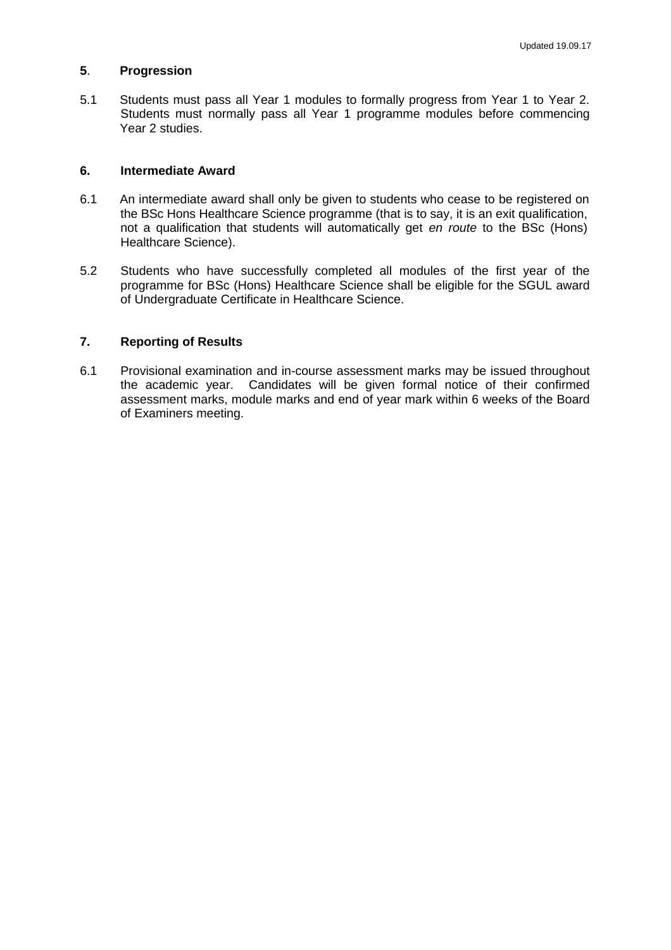### **5**. **Progression**

5.1 Students must pass all Year 1 modules to formally progress from Year 1 to Year 2. Students must normally pass all Year 1 programme modules before commencing Year 2 studies.

## **6. Intermediate Award**

- 6.1 An intermediate award shall only be given to students who cease to be registered on the BSc Hons Healthcare Science programme (that is to say, it is an exit qualification, not a qualification that students will automatically get *en route* to the BSc (Hons) Healthcare Science).
- 5.2 Students who have successfully completed all modules of the first year of the programme for BSc (Hons) Healthcare Science shall be eligible for the SGUL award of Undergraduate Certificate in Healthcare Science.

## **7. Reporting of Results**

6.1 Provisional examination and in-course assessment marks may be issued throughout the academic year. Candidates will be given formal notice of their confirmed assessment marks, module marks and end of year mark within 6 weeks of the Board of Examiners meeting.